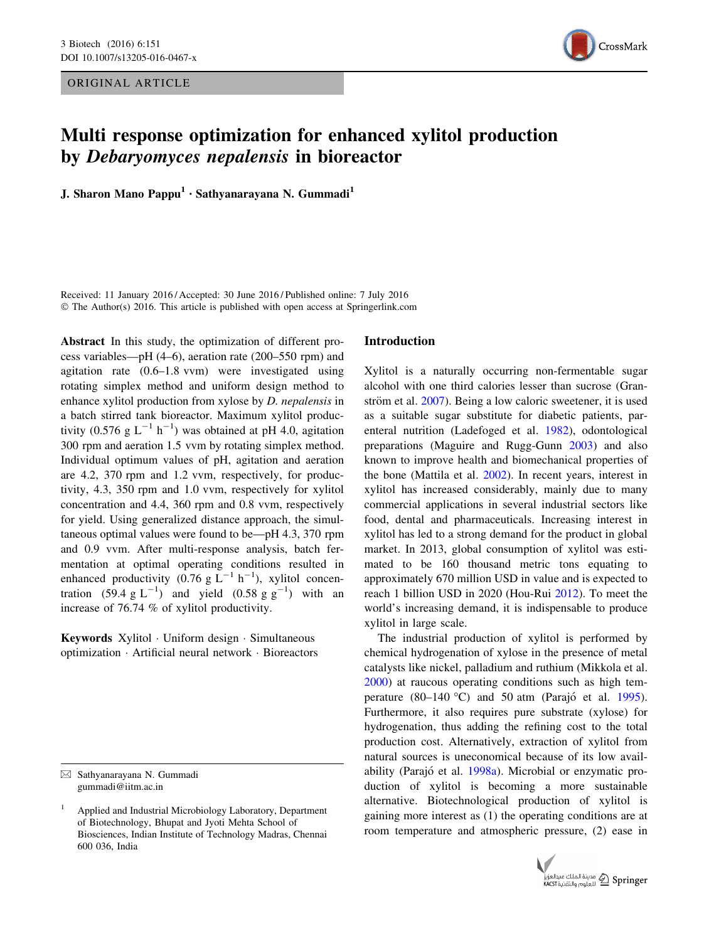ORIGINAL ARTICLE



# Multi response optimization for enhanced xylitol production by Debaryomyces nepalensis in bioreactor

J. Sharon Mano Pappu<sup>1</sup> · Sathyanarayana N. Gummadi<sup>1</sup>

Received: 11 January 2016 / Accepted: 30 June 2016 / Published online: 7 July 2016 © The Author(s) 2016. This article is published with open access at Springerlink.com

Abstract In this study, the optimization of different process variables—pH (4–6), aeration rate (200–550 rpm) and agitation rate (0.6–1.8 vvm) were investigated using rotating simplex method and uniform design method to enhance xylitol production from xylose by D. nepalensis in a batch stirred tank bioreactor. Maximum xylitol productivity (0.576 g  $L^{-1}$  h<sup>-1</sup>) was obtained at pH 4.0, agitation 300 rpm and aeration 1.5 vvm by rotating simplex method. Individual optimum values of pH, agitation and aeration are 4.2, 370 rpm and 1.2 vvm, respectively, for productivity, 4.3, 350 rpm and 1.0 vvm, respectively for xylitol concentration and 4.4, 360 rpm and 0.8 vvm, respectively for yield. Using generalized distance approach, the simultaneous optimal values were found to be—pH 4.3, 370 rpm and 0.9 vvm. After multi-response analysis, batch fermentation at optimal operating conditions resulted in enhanced productivity (0.76 g  $L^{-1}$  h<sup>-1</sup>), xylitol concentration (59.4  $g L^{-1}$ ) and yield (0.58  $g g^{-1}$ ) with an increase of 76.74 % of xylitol productivity.

Keywords Xylitol - Uniform design - Simultaneous optimization - Artificial neural network - Bioreactors

## Introduction

Xylitol is a naturally occurring non-fermentable sugar alcohol with one third calories lesser than sucrose (Granström et al.  $2007$ ). Being a low caloric sweetener, it is used as a suitable sugar substitute for diabetic patients, parenteral nutrition (Ladefoged et al. [1982\)](#page-9-0), odontological preparations (Maguire and Rugg-Gunn [2003](#page-9-0)) and also known to improve health and biomechanical properties of the bone (Mattila et al. [2002\)](#page-9-0). In recent years, interest in xylitol has increased considerably, mainly due to many commercial applications in several industrial sectors like food, dental and pharmaceuticals. Increasing interest in xylitol has led to a strong demand for the product in global market. In 2013, global consumption of xylitol was estimated to be 160 thousand metric tons equating to approximately 670 million USD in value and is expected to reach 1 billion USD in 2020 (Hou-Rui [2012](#page-9-0)). To meet the world's increasing demand, it is indispensable to produce xylitol in large scale.

The industrial production of xylitol is performed by chemical hydrogenation of xylose in the presence of metal catalysts like nickel, palladium and ruthium (Mikkola et al. [2000](#page-9-0)) at raucous operating conditions such as high temperature  $(80-140 \degree C)$  and 50 atm (Parajó et al. [1995](#page-9-0)). Furthermore, it also requires pure substrate (xylose) for hydrogenation, thus adding the refining cost to the total production cost. Alternatively, extraction of xylitol from natural sources is uneconomical because of its low avail-ability (Parajó et al. [1998a](#page-9-0)). Microbial or enzymatic production of xylitol is becoming a more sustainable alternative. Biotechnological production of xylitol is gaining more interest as (1) the operating conditions are at room temperature and atmospheric pressure, (2) ease in



 $\boxtimes$  Sathyanarayana N. Gummadi gummadi@iitm.ac.in

<sup>1</sup> Applied and Industrial Microbiology Laboratory, Department of Biotechnology, Bhupat and Jyoti Mehta School of Biosciences, Indian Institute of Technology Madras, Chennai 600 036, India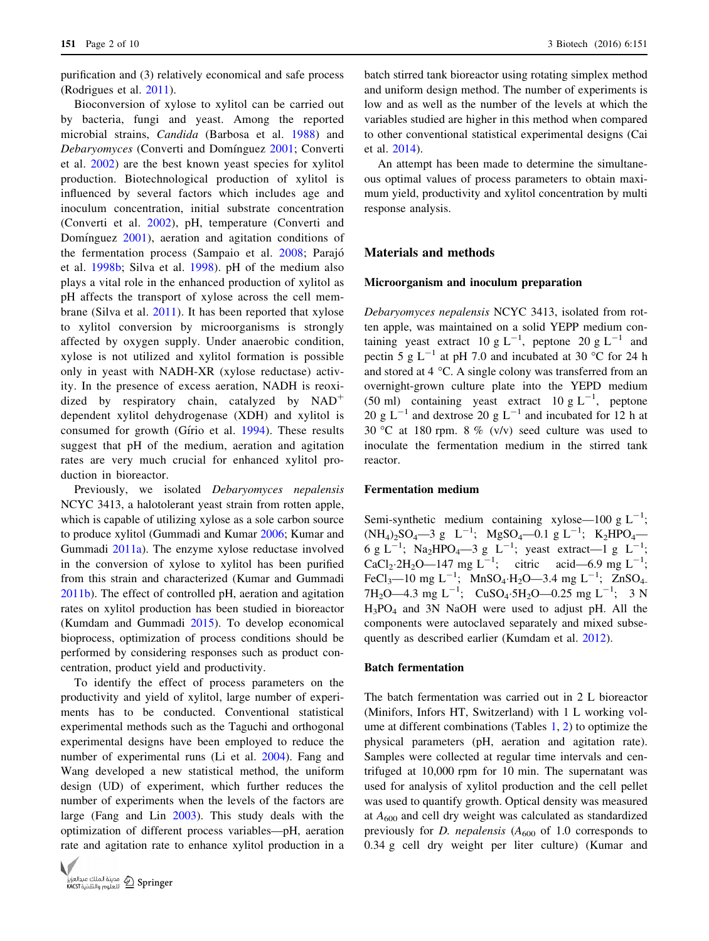purification and (3) relatively economical and safe process (Rodrigues et al. [2011](#page-9-0)).

Bioconversion of xylose to xylitol can be carried out by bacteria, fungi and yeast. Among the reported microbial strains, Candida (Barbosa et al. [1988](#page-8-0)) and Debaryomyces (Converti and Domínguez [2001](#page-8-0); Converti et al. [2002\)](#page-8-0) are the best known yeast species for xylitol production. Biotechnological production of xylitol is influenced by several factors which includes age and inoculum concentration, initial substrate concentration (Converti et al. [2002](#page-8-0)), pH, temperature (Converti and Dominguez  $2001$ , aeration and agitation conditions of the fermentation process (Sampaio et al. [2008;](#page-9-0) Parajó et al. [1998b;](#page-9-0) Silva et al. [1998\)](#page-9-0). pH of the medium also plays a vital role in the enhanced production of xylitol as pH affects the transport of xylose across the cell membrane (Silva et al. [2011\)](#page-9-0). It has been reported that xylose to xylitol conversion by microorganisms is strongly affected by oxygen supply. Under anaerobic condition, xylose is not utilized and xylitol formation is possible only in yeast with NADH-XR (xylose reductase) activity. In the presence of excess aeration, NADH is reoxidized by respiratory chain, catalyzed by  $NAD<sup>+</sup>$ dependent xylitol dehydrogenase (XDH) and xylitol is consumed for growth (Gírio et al. [1994](#page-8-0)). These results suggest that pH of the medium, aeration and agitation rates are very much crucial for enhanced xylitol production in bioreactor.

Previously, we isolated Debaryomyces nepalensis NCYC 3413, a halotolerant yeast strain from rotten apple, which is capable of utilizing xylose as a sole carbon source to produce xylitol (Gummadi and Kumar [2006;](#page-9-0) Kumar and Gummadi [2011a](#page-9-0)). The enzyme xylose reductase involved in the conversion of xylose to xylitol has been purified from this strain and characterized (Kumar and Gummadi [2011b\)](#page-9-0). The effect of controlled pH, aeration and agitation rates on xylitol production has been studied in bioreactor (Kumdam and Gummadi [2015](#page-9-0)). To develop economical bioprocess, optimization of process conditions should be performed by considering responses such as product concentration, product yield and productivity.

To identify the effect of process parameters on the productivity and yield of xylitol, large number of experiments has to be conducted. Conventional statistical experimental methods such as the Taguchi and orthogonal experimental designs have been employed to reduce the number of experimental runs (Li et al. [2004\)](#page-9-0). Fang and Wang developed a new statistical method, the uniform design (UD) of experiment, which further reduces the number of experiments when the levels of the factors are large (Fang and Lin [2003](#page-8-0)). This study deals with the optimization of different process variables—pH, aeration rate and agitation rate to enhance xylitol production in a



batch stirred tank bioreactor using rotating simplex method and uniform design method. The number of experiments is low and as well as the number of the levels at which the variables studied are higher in this method when compared to other conventional statistical experimental designs (Cai et al. [2014\)](#page-8-0).

An attempt has been made to determine the simultaneous optimal values of process parameters to obtain maximum yield, productivity and xylitol concentration by multi response analysis.

## Materials and methods

#### Microorganism and inoculum preparation

Debaryomyces nepalensis NCYC 3413, isolated from rotten apple, was maintained on a solid YEPP medium containing yeast extract 10 g  $L^{-1}$ , peptone 20 g  $L^{-1}$  and pectin 5 g  $L^{-1}$  at pH 7.0 and incubated at 30 °C for 24 h and stored at  $4 \degree C$ . A single colony was transferred from an overnight-grown culture plate into the YEPD medium (50 ml) containing yeast extract  $10 \text{ g L}^{-1}$ , peptone 20 g  $L^{-1}$  and dextrose 20 g  $L^{-1}$  and incubated for 12 h at 30 °C at 180 rpm. 8 % (v/v) seed culture was used to inoculate the fermentation medium in the stirred tank reactor.

## Fermentation medium

Semi-synthetic medium containing xylose—100 g  $L^{-1}$ ;  $(NH_4)_2SO_4 \rightarrow 3 g L^{-1}$ ;  $MgSO_4 \rightarrow 0.1 g L^{-1}$ ;  $K_2 HPO_4 \rightarrow$ 6 g L<sup>-1</sup>; Na<sub>2</sub>HPO<sub>4</sub>—3 g L<sup>-1</sup>; yeast extract—1 g L<sup>-1</sup>;  $CaCl_2·2H_2O$ —147 mg L<sup>-1</sup>; citric acid—6.9 mg L<sup>-1</sup>; FeCl<sub>3</sub>—10 mg L<sup>-1</sup>; MnSO<sub>4</sub>·H<sub>2</sub>O—3.4 mg L<sup>-1</sup>; ZnSO<sub>4</sub>.  $7H_2O$ —4.3 mg L<sup>-1</sup>; CuSO<sub>4</sub>.5H<sub>2</sub>O—0.25 mg L<sup>-1</sup>; 3 N  $H_3PO_4$  and 3N NaOH were used to adjust pH. All the components were autoclaved separately and mixed subsequently as described earlier (Kumdam et al. [2012](#page-9-0)).

## Batch fermentation

The batch fermentation was carried out in 2 L bioreactor (Minifors, Infors HT, Switzerland) with 1 L working volume at different combinations (Tables [1,](#page-2-0) [2\)](#page-2-0) to optimize the physical parameters (pH, aeration and agitation rate). Samples were collected at regular time intervals and centrifuged at 10,000 rpm for 10 min. The supernatant was used for analysis of xylitol production and the cell pellet was used to quantify growth. Optical density was measured at  $A_{600}$  and cell dry weight was calculated as standardized previously for D. nepalensis  $(A_{600}$  of 1.0 corresponds to 0.34 g cell dry weight per liter culture) (Kumar and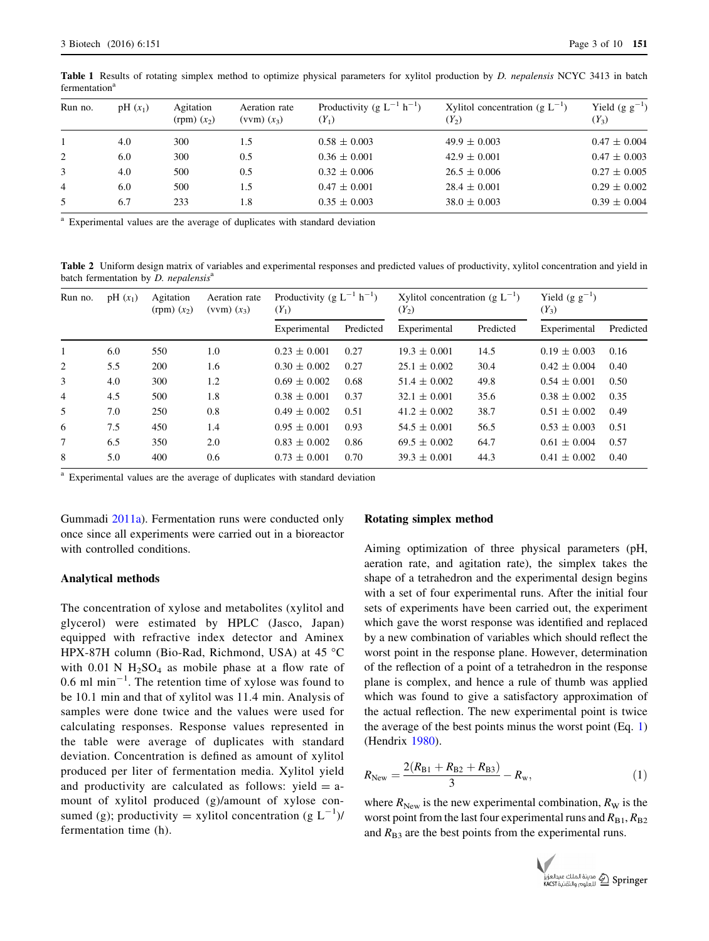| Run no.        | $pH(x_1)$ | Agitation<br>$(rpm)$ $(x_2)$ | Aeration rate<br>$(vvm) (x_3)$ | Productivity (g $L^{-1}$ h <sup>-1</sup> )<br>$(Y_1)$ | Xylitol concentration (g $L^{-1}$ )<br>$(Y_2)$ | Yield $(g g^{-1})$<br>$(Y_3)$ |
|----------------|-----------|------------------------------|--------------------------------|-------------------------------------------------------|------------------------------------------------|-------------------------------|
|                | 4.0       | 300                          | 1.5                            | $0.58 \pm 0.003$                                      | $49.9 \pm 0.003$                               | $0.47 \pm 0.004$              |
| 2              | 6.0       | 300                          | 0.5                            | $0.36 \pm 0.001$                                      | $42.9 \pm 0.001$                               | $0.47 \pm 0.003$              |
| 3              | 4.0       | 500                          | 0.5                            | $0.32 \pm 0.006$                                      | $26.5 \pm 0.006$                               | $0.27 \pm 0.005$              |
| $\overline{4}$ | 6.0       | 500                          | 1.5                            | $0.47 \pm 0.001$                                      | $28.4 \pm 0.001$                               | $0.29 \pm 0.002$              |
| 5              | 6.7       | 233                          | 1.8                            | $0.35 \pm 0.003$                                      | $38.0 \pm 0.003$                               | $0.39 \pm 0.004$              |

<span id="page-2-0"></span>Table 1 Results of rotating simplex method to optimize physical parameters for xylitol production by D. nepalensis NCYC 3413 in batch fermentation<sup>a</sup>

<sup>a</sup> Experimental values are the average of duplicates with standard deviation

Table 2 Uniform design matrix of variables and experimental responses and predicted values of productivity, xylitol concentration and yield in batch fermentation by  $D$ . nepalensis $a$ 

| Run no.        | $pH(x_1)$ | Agitation<br>$(rpm)$ $(x_2)$ | Aeration rate<br>$(vvm) (x_3)$ | Productivity (g $L^{-1}$ h <sup>-1</sup> )<br>$(Y_1)$ |           | Xylitol concentration (g $L^{-1}$ )<br>$(Y_2)$ |           | Yield $(g g^{-1})$<br>$(Y_3)$ |           |
|----------------|-----------|------------------------------|--------------------------------|-------------------------------------------------------|-----------|------------------------------------------------|-----------|-------------------------------|-----------|
|                |           |                              |                                | Experimental                                          | Predicted | Experimental                                   | Predicted | Experimental                  | Predicted |
| 1              | 6.0       | 550                          | 1.0                            | $0.23 \pm 0.001$                                      | 0.27      | $19.3 \pm 0.001$                               | 14.5      | $0.19 \pm 0.003$              | 0.16      |
| 2              | 5.5       | 200                          | 1.6                            | $0.30 \pm 0.002$                                      | 0.27      | $25.1 \pm 0.002$                               | 30.4      | $0.42 \pm 0.004$              | 0.40      |
| 3              | 4.0       | 300                          | 1.2                            | $0.69 \pm 0.002$                                      | 0.68      | $51.4 \pm 0.002$                               | 49.8      | $0.54 \pm 0.001$              | 0.50      |
| $\overline{4}$ | 4.5       | 500                          | 1.8                            | $0.38 \pm 0.001$                                      | 0.37      | $32.1 \pm 0.001$                               | 35.6      | $0.38 \pm 0.002$              | 0.35      |
| 5              | 7.0       | 250                          | 0.8                            | $0.49 \pm 0.002$                                      | 0.51      | $41.2 \pm 0.002$                               | 38.7      | $0.51 \pm 0.002$              | 0.49      |
| 6              | 7.5       | 450                          | 1.4                            | $0.95 \pm 0.001$                                      | 0.93      | $54.5 \pm 0.001$                               | 56.5      | $0.53 \pm 0.003$              | 0.51      |
|                | 6.5       | 350                          | 2.0                            | $0.83 \pm 0.002$                                      | 0.86      | $69.5 \pm 0.002$                               | 64.7      | $0.61 \pm 0.004$              | 0.57      |
| 8              | 5.0       | 400                          | 0.6                            | $0.73 \pm 0.001$                                      | 0.70      | $39.3 \pm 0.001$                               | 44.3      | $0.41 \pm 0.002$              | 0.40      |

<sup>a</sup> Experimental values are the average of duplicates with standard deviation

Gummadi [2011a\)](#page-9-0). Fermentation runs were conducted only once since all experiments were carried out in a bioreactor with controlled conditions.

### Analytical methods

The concentration of xylose and metabolites (xylitol and glycerol) were estimated by HPLC (Jasco, Japan) equipped with refractive index detector and Aminex HPX-87H column (Bio-Rad, Richmond, USA) at 45  $^{\circ}$ C with  $0.01$  N  $H_2SO_4$  as mobile phase at a flow rate of  $0.6$  ml min<sup>-1</sup>. The retention time of xylose was found to be 10.1 min and that of xylitol was 11.4 min. Analysis of samples were done twice and the values were used for calculating responses. Response values represented in the table were average of duplicates with standard deviation. Concentration is defined as amount of xylitol produced per liter of fermentation media. Xylitol yield and productivity are calculated as follows: yield  $=$  amount of xylitol produced (g)/amount of xylose consumed (g); productivity = xylitol concentration (g  $L^{-1}$ )/ fermentation time (h).

#### Rotating simplex method

Aiming optimization of three physical parameters (pH, aeration rate, and agitation rate), the simplex takes the shape of a tetrahedron and the experimental design begins with a set of four experimental runs. After the initial four sets of experiments have been carried out, the experiment which gave the worst response was identified and replaced by a new combination of variables which should reflect the worst point in the response plane. However, determination of the reflection of a point of a tetrahedron in the response plane is complex, and hence a rule of thumb was applied which was found to give a satisfactory approximation of the actual reflection. The new experimental point is twice the average of the best points minus the worst point (Eq. 1) (Hendrix [1980](#page-9-0)).

$$
R_{\text{New}} = \frac{2(R_{\text{B1}} + R_{\text{B2}} + R_{\text{B3}})}{3} - R_{\text{w}},\tag{1}
$$

where  $R_{\text{New}}$  is the new experimental combination,  $R_{\text{W}}$  is the worst point from the last four experimental runs and  $R_{\text{B1}}$ ,  $R_{\text{B2}}$ and  $R_{\text{B}3}$  are the best points from the experimental runs.

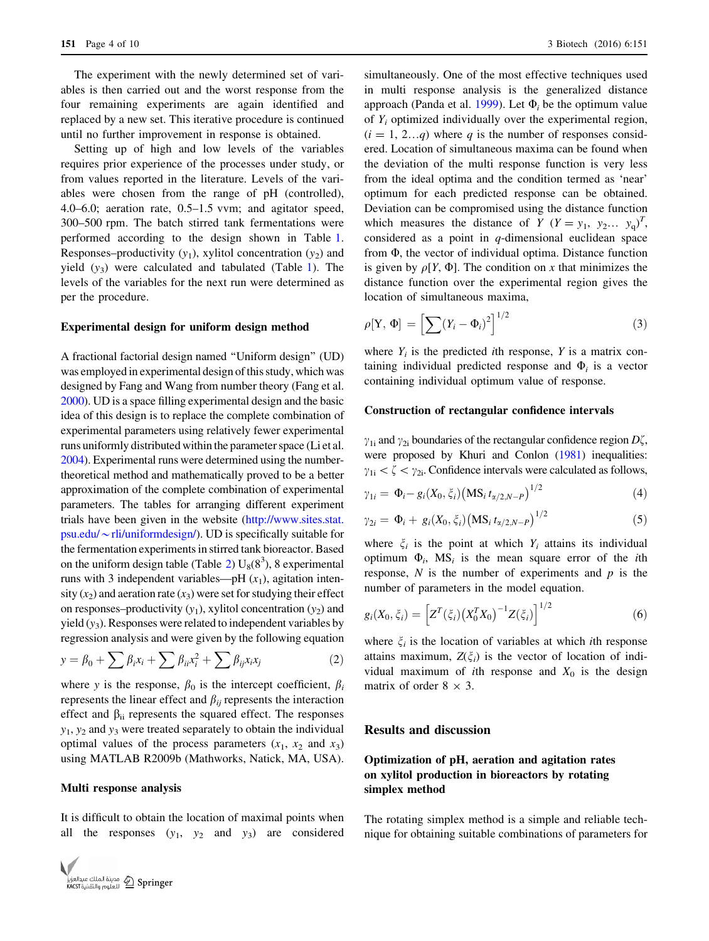The experiment with the newly determined set of variables is then carried out and the worst response from the four remaining experiments are again identified and replaced by a new set. This iterative procedure is continued until no further improvement in response is obtained.

Setting up of high and low levels of the variables requires prior experience of the processes under study, or from values reported in the literature. Levels of the variables were chosen from the range of pH (controlled), 4.0–6.0; aeration rate, 0.5–1.5 vvm; and agitator speed, 300–500 rpm. The batch stirred tank fermentations were performed according to the design shown in Table [1.](#page-2-0) Responses–productivity  $(y_1)$ , xylitol concentration  $(y_2)$  and yield  $(y_3)$  were calculated and tabulated (Table [1\)](#page-2-0). The levels of the variables for the next run were determined as per the procedure.

### Experimental design for uniform design method

A fractional factorial design named ''Uniform design'' (UD) was employed in experimental design of this study, which was designed by Fang and Wang from number theory (Fang et al. [2000\)](#page-8-0). UD is a space filling experimental design and the basic idea of this design is to replace the complete combination of experimental parameters using relatively fewer experimental runs uniformly distributed within the parameter space (Li et al. [2004\)](#page-9-0). Experimental runs were determined using the numbertheoretical method and mathematically proved to be a better approximation of the complete combination of experimental parameters. The tables for arranging different experiment trials have been given in the website [\(http://www.sites.stat.](http://www.sites.stat.psu.edu/%7erli/uniformdesign/) psu.edu/ $\sim$ [rli/uniformdesign/\)](http://www.sites.stat.psu.edu/%7erli/uniformdesign/). UD is specifically suitable for the fermentation experiments in stirred tank bioreactor. Based on the uniform design table (Table [2\)](#page-2-0)  $U_8(8^3)$ , 8 experimental runs with 3 independent variables—pH  $(x_1)$ , agitation intensity  $(x_2)$  and aeration rate  $(x_3)$  were set for studying their effect on responses–productivity  $(y_1)$ , xylitol concentration  $(y_2)$  and yield  $(y_3)$ . Responses were related to independent variables by regression analysis and were given by the following equation

$$
y = \beta_0 + \sum \beta_i x_i + \sum \beta_{ii} x_i^2 + \sum \beta_{ij} x_i x_j \tag{2}
$$

where y is the response,  $\beta_0$  is the intercept coefficient,  $\beta_i$ represents the linear effect and  $\beta_{ij}$  represents the interaction effect and  $\beta_{ii}$  represents the squared effect. The responses  $y_1, y_2$  and  $y_3$  were treated separately to obtain the individual optimal values of the process parameters  $(x_1, x_2, x_3)$ using MATLAB R2009b (Mathworks, Natick, MA, USA).

# Multi response analysis

It is difficult to obtain the location of maximal points when all the responses  $(y_1, y_2 \text{ and } y_3)$  are considered



simultaneously. One of the most effective techniques used in multi response analysis is the generalized distance approach (Panda et al. [1999](#page-9-0)). Let  $\Phi_i$  be the optimum value of  $Y_i$  optimized individually over the experimental region,  $(i = 1, 2...q)$  where q is the number of responses considered. Location of simultaneous maxima can be found when the deviation of the multi response function is very less from the ideal optima and the condition termed as 'near' optimum for each predicted response can be obtained. Deviation can be compromised using the distance function which measures the distance of  $Y (Y = y_1, y_2... y_q)^T$ , considered as a point in  $q$ -dimensional euclidean space from  $\Phi$ , the vector of individual optima. Distance function is given by  $\rho[Y, \Phi]$ . The condition on x that minimizes the distance function over the experimental region gives the location of simultaneous maxima,

$$
\rho[\mathbf{Y}, \, \mathbf{\Phi}] = \left[\sum (Y_i - \mathbf{\Phi}_i)^2\right]^{1/2} \tag{3}
$$

where  $Y_i$  is the predicted *i*th response, Y is a matrix containing individual predicted response and  $\Phi_i$  is a vector containing individual optimum value of response.

# Construction of rectangular confidence intervals

 $\gamma_{1i}$  and  $\gamma_{2i}$  boundaries of the rectangular confidence region  $D\zeta$ , were proposed by Khuri and Conlon ([1981\)](#page-9-0) inequalities:  $\gamma_{1i} < \zeta < \gamma_{2i}$ . Confidence intervals were calculated as follows,

$$
\gamma_{1i} = \Phi_i - g_i(X_0, \xi_i) \left( \text{MS}_i \, t_{\alpha/2, N-P} \right)^{1/2} \tag{4}
$$

$$
\gamma_{2i} = \Phi_i + g_i(X_0, \xi_i) \big( \text{MS}_i \, t_{\alpha/2, N-P} \big)^{1/2} \tag{5}
$$

where  $\xi_i$  is the point at which  $Y_i$  attains its individual optimum  $\Phi_i$ , MS<sub>i</sub> is the mean square error of the *i*th response,  $N$  is the number of experiments and  $p$  is the number of parameters in the model equation.

$$
g_i(X_0, \xi_i) = \left[ Z^T(\xi_i) \left( X_0^T X_0 \right)^{-1} Z(\xi_i) \right]^{1/2} \tag{6}
$$

where  $\xi_i$  is the location of variables at which ith response attains maximum,  $Z(\xi_i)$  is the vector of location of individual maximum of *i*th response and  $X_0$  is the design matrix of order  $8 \times 3$ .

## Results and discussion

# Optimization of pH, aeration and agitation rates on xylitol production in bioreactors by rotating simplex method

The rotating simplex method is a simple and reliable technique for obtaining suitable combinations of parameters for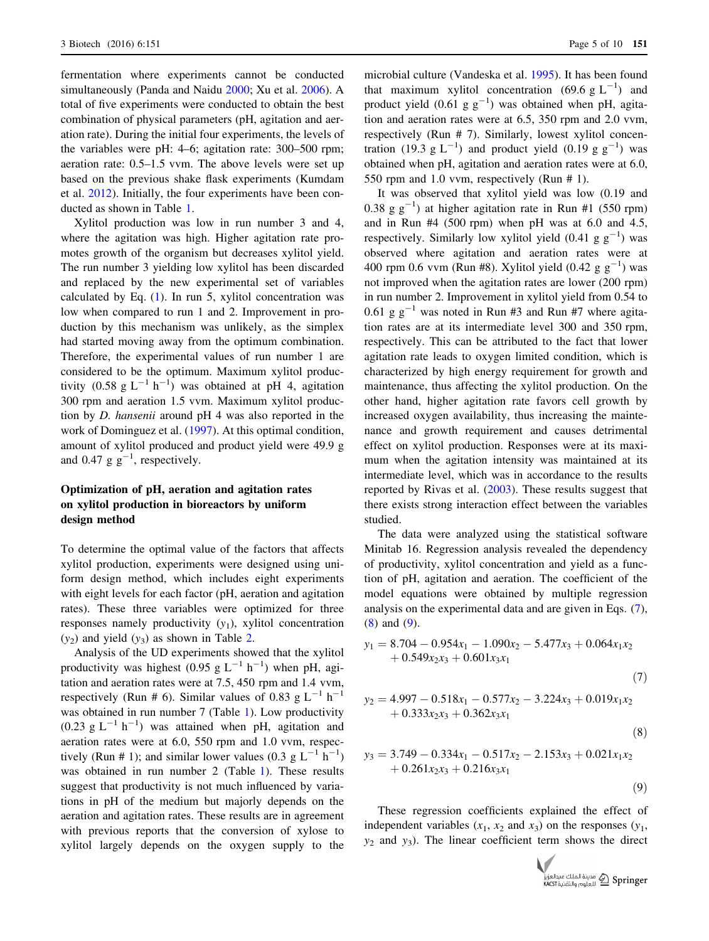fermentation where experiments cannot be conducted simultaneously (Panda and Naidu [2000;](#page-9-0) Xu et al. [2006](#page-9-0)). A total of five experiments were conducted to obtain the best combination of physical parameters (pH, agitation and aeration rate). During the initial four experiments, the levels of the variables were pH: 4–6; agitation rate: 300–500 rpm; aeration rate: 0.5–1.5 vvm. The above levels were set up based on the previous shake flask experiments (Kumdam et al. [2012](#page-9-0)). Initially, the four experiments have been conducted as shown in Table [1.](#page-2-0)

Xylitol production was low in run number 3 and 4, where the agitation was high. Higher agitation rate promotes growth of the organism but decreases xylitol yield. The run number 3 yielding low xylitol has been discarded and replaced by the new experimental set of variables calculated by Eq.  $(1)$ . In run 5, xylitol concentration was low when compared to run 1 and 2. Improvement in production by this mechanism was unlikely, as the simplex had started moving away from the optimum combination. Therefore, the experimental values of run number 1 are considered to be the optimum. Maximum xylitol productivity (0.58 g  $L^{-1}$  h<sup>-1</sup>) was obtained at pH 4, agitation 300 rpm and aeration 1.5 vvm. Maximum xylitol production by D. hansenii around pH 4 was also reported in the work of Dominguez et al. ([1997\)](#page-8-0). At this optimal condition, amount of xylitol produced and product yield were 49.9 g and 0.47  $g g^{-1}$ , respectively.

# Optimization of pH, aeration and agitation rates on xylitol production in bioreactors by uniform design method

To determine the optimal value of the factors that affects xylitol production, experiments were designed using uniform design method, which includes eight experiments with eight levels for each factor (pH, aeration and agitation rates). These three variables were optimized for three responses namely productivity  $(y_1)$ , xylitol concentration  $(y_2)$  and yield  $(y_3)$  as shown in Table [2.](#page-2-0)

Analysis of the UD experiments showed that the xylitol productivity was highest (0.95 g  $L^{-1}$  h<sup>-1</sup>) when pH, agitation and aeration rates were at 7.5, 450 rpm and 1.4 vvm, respectively (Run # 6). Similar values of 0.83 g  $L^{-1}$  h<sup>-1</sup> was obtained in run number 7 (Table [1](#page-2-0)). Low productivity  $(0.23 \text{ g L}^{-1} \text{ h}^{-1})$  was attained when pH, agitation and aeration rates were at 6.0, 550 rpm and 1.0 vvm, respectively (Run # 1); and similar lower values (0.3  $g L^{-1} h^{-1}$ ) was obtained in run number 2 (Table [1](#page-2-0)). These results suggest that productivity is not much influenced by variations in pH of the medium but majorly depends on the aeration and agitation rates. These results are in agreement with previous reports that the conversion of xylose to xylitol largely depends on the oxygen supply to the

microbial culture (Vandeska et al. [1995\)](#page-9-0). It has been found that maximum xylitol concentration (69.6  $g L^{-1}$ ) and product yield  $(0.61 \text{ g g}^{-1})$  was obtained when pH, agitation and aeration rates were at 6.5, 350 rpm and 2.0 vvm, respectively (Run # 7). Similarly, lowest xylitol concentration (19.3  $g L^{-1}$ ) and product yield (0.19  $g g^{-1}$ ) was obtained when pH, agitation and aeration rates were at 6.0, 550 rpm and 1.0 vvm, respectively (Run # 1).

It was observed that xylitol yield was low (0.19 and 0.38 g  $g^{-1}$ ) at higher agitation rate in Run #1 (550 rpm) and in Run  $#4$  (500 rpm) when pH was at 6.0 and 4.5, respectively. Similarly low xylitol yield  $(0.41 \text{ g g}^{-1})$  was observed where agitation and aeration rates were at 400 rpm 0.6 vvm (Run #8). Xylitol yield  $(0.42 \text{ g g}^{-1})$  was not improved when the agitation rates are lower (200 rpm) in run number 2. Improvement in xylitol yield from 0.54 to 0.61 g  $g^{-1}$  was noted in Run #3 and Run #7 where agitation rates are at its intermediate level 300 and 350 rpm, respectively. This can be attributed to the fact that lower agitation rate leads to oxygen limited condition, which is characterized by high energy requirement for growth and maintenance, thus affecting the xylitol production. On the other hand, higher agitation rate favors cell growth by increased oxygen availability, thus increasing the maintenance and growth requirement and causes detrimental effect on xylitol production. Responses were at its maximum when the agitation intensity was maintained at its intermediate level, which was in accordance to the results reported by Rivas et al. ([2003\)](#page-9-0). These results suggest that there exists strong interaction effect between the variables studied.

The data were analyzed using the statistical software Minitab 16. Regression analysis revealed the dependency of productivity, xylitol concentration and yield as a function of pH, agitation and aeration. The coefficient of the model equations were obtained by multiple regression analysis on the experimental data and are given in Eqs. (7), (8) and (9).

$$
y_1 = 8.704 - 0.954x_1 - 1.090x_2 - 5.477x_3 + 0.064x_1x_2 + 0.549x_2x_3 + 0.601x_3x_1
$$
\n(7)

$$
y_2 = 4.997 - 0.518x_1 - 0.577x_2 - 3.224x_3 + 0.019x_1x_2 + 0.333x_2x_3 + 0.362x_3x_1
$$
\n(8)

$$
y_3 = 3.749 - 0.334x_1 - 0.517x_2 - 2.153x_3 + 0.021x_1x_2 + 0.261x_2x_3 + 0.216x_3x_1
$$

 $(9)$ 

These regression coefficients explained the effect of independent variables  $(x_1, x_2 \text{ and } x_3)$  on the responses  $(y_1,$  $y_2$  and  $y_3$ ). The linear coefficient term shows the direct

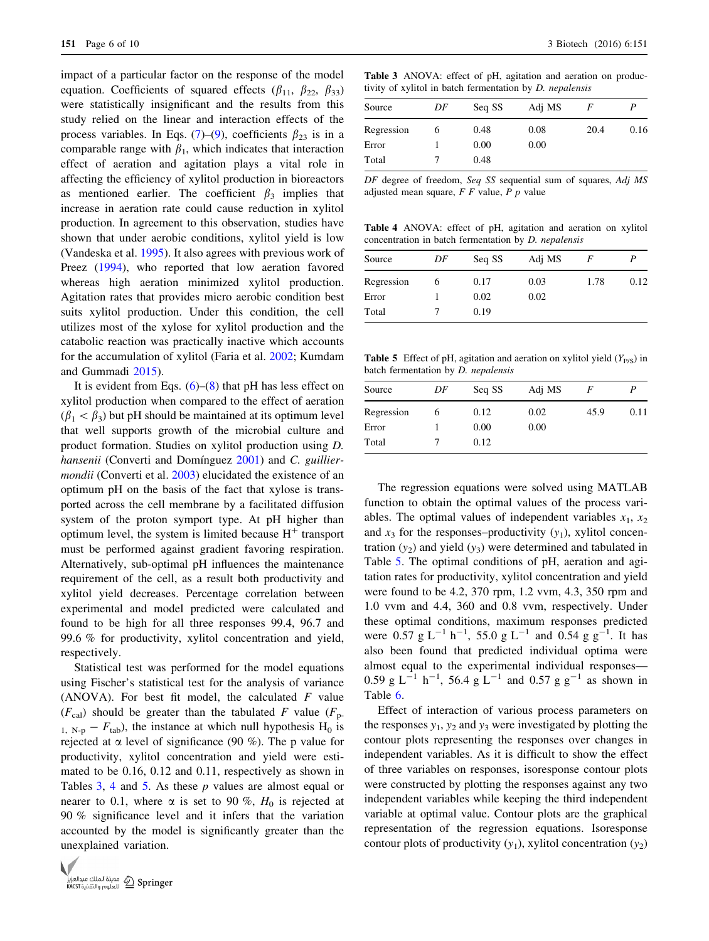impact of a particular factor on the response of the model equation. Coefficients of squared effects ( $\beta_{11}$ ,  $\beta_{22}$ ,  $\beta_{33}$ ) were statistically insignificant and the results from this study relied on the linear and interaction effects of the process variables. In Eqs. (7)–(9), coefficients  $\beta_{23}$  is in a comparable range with  $\beta_1$ , which indicates that interaction effect of aeration and agitation plays a vital role in affecting the efficiency of xylitol production in bioreactors as mentioned earlier. The coefficient  $\beta_3$  implies that increase in aeration rate could cause reduction in xylitol production. In agreement to this observation, studies have shown that under aerobic conditions, xylitol yield is low (Vandeska et al. [1995\)](#page-9-0). It also agrees with previous work of Preez ([1994\)](#page-9-0), who reported that low aeration favored whereas high aeration minimized xylitol production. Agitation rates that provides micro aerobic condition best suits xylitol production. Under this condition, the cell utilizes most of the xylose for xylitol production and the catabolic reaction was practically inactive which accounts for the accumulation of xylitol (Faria et al. [2002](#page-8-0); Kumdam and Gummadi [2015](#page-9-0)).

It is evident from Eqs.  $(6)$ – $(8)$  that pH has less effect on xylitol production when compared to the effect of aeration  $(\beta_1 < \beta_3)$  but pH should be maintained at its optimum level that well supports growth of the microbial culture and product formation. Studies on xylitol production using D. hansenii (Converti and Domínguez [2001\)](#page-8-0) and C. guilliermondii (Converti et al. [2003](#page-8-0)) elucidated the existence of an optimum pH on the basis of the fact that xylose is transported across the cell membrane by a facilitated diffusion system of the proton symport type. At pH higher than optimum level, the system is limited because  $H^+$  transport must be performed against gradient favoring respiration. Alternatively, sub-optimal pH influences the maintenance requirement of the cell, as a result both productivity and xylitol yield decreases. Percentage correlation between experimental and model predicted were calculated and found to be high for all three responses 99.4, 96.7 and 99.6 % for productivity, xylitol concentration and yield, respectively.

Statistical test was performed for the model equations using Fischer's statistical test for the analysis of variance (ANOVA). For best fit model, the calculated  $F$  value  $(F_{\text{cal}})$  should be greater than the tabulated F value  $(F_{\text{p}})$  $_{1, N-p} - F_{\text{tab}}$ , the instance at which null hypothesis H<sub>0</sub> is rejected at  $\alpha$  level of significance (90 %). The p value for productivity, xylitol concentration and yield were estimated to be 0.16, 0.12 and 0.11, respectively as shown in Tables  $3, 4$  and  $5$ . As these p values are almost equal or nearer to 0.1, where  $\alpha$  is set to 90 %,  $H_0$  is rejected at 90 % significance level and it infers that the variation accounted by the model is significantly greater than the unexplained variation.



Table 3 ANOVA: effect of pH, agitation and aeration on productivity of xylitol in batch fermentation by D. nepalensis

| DF | Seq SS | Adj MS |      |      |
|----|--------|--------|------|------|
| O  | 0.48   | 0.08   | 20.4 | 0.16 |
|    | 0.00   | 0.00   |      |      |
|    | 0.48   |        |      |      |
|    |        |        |      |      |

DF degree of freedom, Seq SS sequential sum of squares, Adj MS adjusted mean square, F F value, P p value

Table 4 ANOVA: effect of pH, agitation and aeration on xylitol concentration in batch fermentation by D. nepalensis

| Source     | DF | Seq SS | Adj MS | F    |       |
|------------|----|--------|--------|------|-------|
| Regression |    | 0.17   | 0.03   | 1.78 | 0.12. |
| Error      |    | 0.02   | 0.02   |      |       |
| Total      |    | 0.19   |        |      |       |

**Table 5** Effect of pH, agitation and aeration on xylitol yield  $(Y_{P/S})$  in batch fermentation by D. nepalensis

| Source     | DF | Seq SS | Adj MS |      |      |
|------------|----|--------|--------|------|------|
| Regression | 6  | 0.12   | 0.02   | 45.9 | 0.11 |
| Error      |    | 0.00   | 0.00   |      |      |
| Total      |    | 0.12   |        |      |      |

The regression equations were solved using MATLAB function to obtain the optimal values of the process variables. The optimal values of independent variables  $x_1, x_2$ and  $x_3$  for the responses–productivity  $(y_1)$ , xylitol concentration  $(y_2)$  and yield  $(y_3)$  were determined and tabulated in Table 5. The optimal conditions of pH, aeration and agitation rates for productivity, xylitol concentration and yield were found to be 4.2, 370 rpm, 1.2 vvm, 4.3, 350 rpm and 1.0 vvm and 4.4, 360 and 0.8 vvm, respectively. Under these optimal conditions, maximum responses predicted were 0.57 g  $L^{-1}$  h<sup>-1</sup>, 55.0 g  $L^{-1}$  and 0.54 g g<sup>-1</sup>. It has also been found that predicted individual optima were almost equal to the experimental individual responses— 0.59 g L<sup>-1</sup> h<sup>-1</sup>, 56.4 g L<sup>-1</sup> and 0.57 g g<sup>-1</sup> as shown in Table [6](#page-6-0).

Effect of interaction of various process parameters on the responses  $y_1$ ,  $y_2$  and  $y_3$  were investigated by plotting the contour plots representing the responses over changes in independent variables. As it is difficult to show the effect of three variables on responses, isoresponse contour plots were constructed by plotting the responses against any two independent variables while keeping the third independent variable at optimal value. Contour plots are the graphical representation of the regression equations. Isoresponse contour plots of productivity  $(y_1)$ , xylitol concentration  $(y_2)$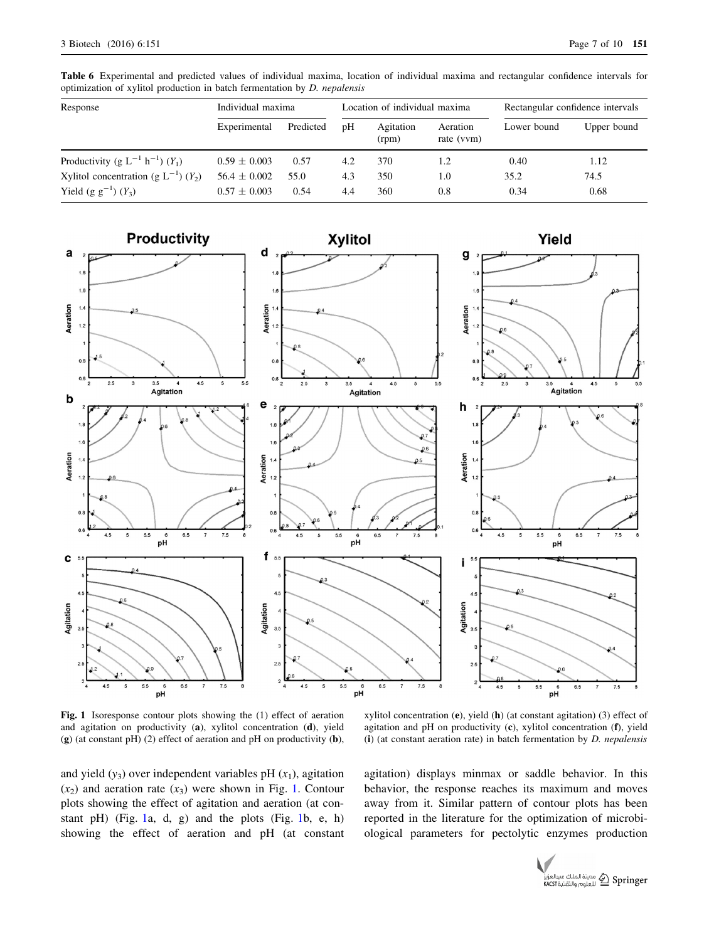<span id="page-6-0"></span>Table 6 Experimental and predicted values of individual maxima, location of individual maxima and rectangular confidence intervals for optimization of xylitol production in batch fermentation by D. nepalensis

| Response                                              | Individual maxima |           | Location of individual maxima |                    |                        | Rectangular confidence intervals |             |
|-------------------------------------------------------|-------------------|-----------|-------------------------------|--------------------|------------------------|----------------------------------|-------------|
|                                                       | Experimental      | Predicted | pH                            | Agitation<br>(rpm) | Aeration<br>rate (vvm) | Lower bound                      | Upper bound |
| Productivity (g $L^{-1}$ h <sup>-1</sup> ) $(Y_1)$    | $0.59 \pm 0.003$  | 0.57      | 4.2                           | 370                | 1.2                    | 0.40                             | 1.12        |
| Xylitol concentration (g $L^{-1}$ ) (Y <sub>2</sub> ) | $56.4 \pm 0.002$  | 55.0      | 4.3                           | 350                | 1.0                    | 35.2                             | 74.5        |
| Yield $(g g^{-1})(Y_3)$                               | $0.57 \pm 0.003$  | 0.54      | 4.4                           | 360                | 0.8                    | 0.34                             | 0.68        |



Fig. 1 Isoresponse contour plots showing the (1) effect of aeration and agitation on productivity (a), xylitol concentration (d), yield (g) (at constant pH) (2) effect of aeration and pH on productivity (b),

xylitol concentration  $(e)$ , yield  $(h)$  (at constant agitation) (3) effect of agitation and pH on productivity (c), xylitol concentration (f), yield (i) (at constant aeration rate) in batch fermentation by  $D$ . *nepalensis* 

and yield  $(y_3)$  over independent variables pH  $(x_1)$ , agitation  $(x_2)$  and aeration rate  $(x_3)$  were shown in Fig. 1. Contour plots showing the effect of agitation and aeration (at constant pH) (Fig. 1a, d, g) and the plots (Fig. 1b, e, h) showing the effect of aeration and pH (at constant agitation) displays minmax or saddle behavior. In this behavior, the response reaches its maximum and moves away from it. Similar pattern of contour plots has been reported in the literature for the optimization of microbiological parameters for pectolytic enzymes production

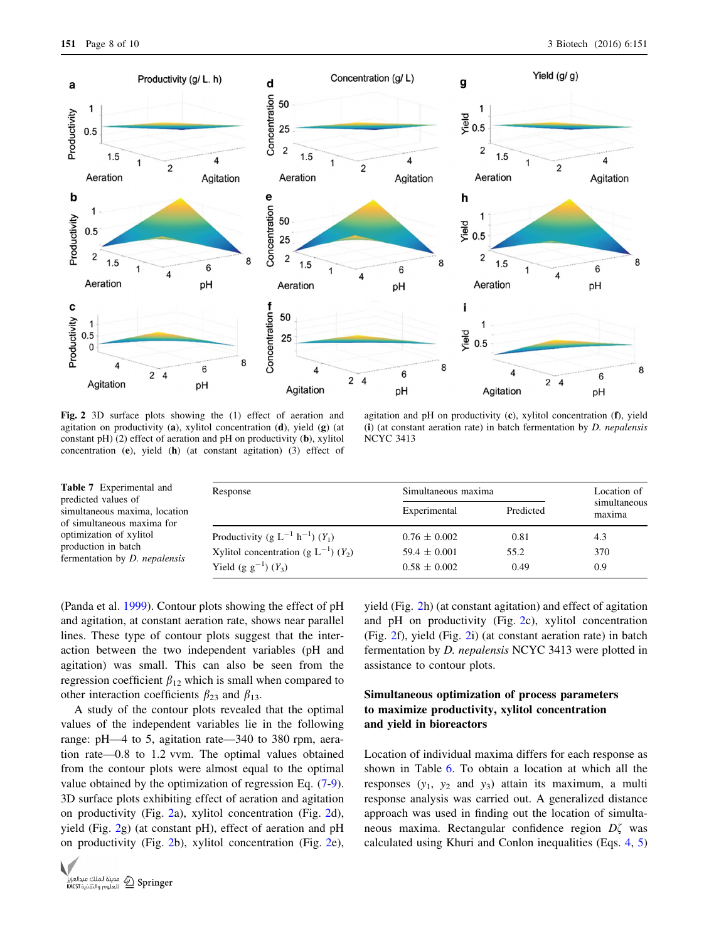<span id="page-7-0"></span>

Fig. 2 3D surface plots showing the (1) effect of aeration and agitation on productivity (a), xylitol concentration  $(d)$ , yield  $(g)$  (at constant pH) (2) effect of aeration and pH on productivity (b), xylitol concentration (e), yield (h) (at constant agitation) (3) effect of

agitation and pH on productivity (c), xylitol concentration (f), yield (i) (at constant aeration rate) in batch fermentation by  $D$ . *nepalensis* NCYC 3413

| <b>Table 7</b> Experimental and<br>predicted values of      | Response                                                                             | Simultaneous maxima                  | Location of  |                        |
|-------------------------------------------------------------|--------------------------------------------------------------------------------------|--------------------------------------|--------------|------------------------|
| simultaneous maxima, location<br>of simultaneous maxima for |                                                                                      | Experimental                         | Predicted    | simultaneous<br>maxima |
| optimization of xylitol<br>production in batch              | Productivity (g $L^{-1}$ h <sup>-1</sup> ) $(Y_1)$                                   | $0.76 \pm 0.002$                     | 0.81         | 4.3                    |
| fermentation by <i>D. nepalensis</i>                        | Xylitol concentration (g $L^{-1}$ ) (Y <sub>2</sub> )<br>Yield (g $g^{-1}$ ) $(Y_3)$ | $59.4 \pm 0.001$<br>$0.58 \pm 0.002$ | 55.2<br>0.49 | 370<br>0.9             |

(Panda et al. [1999\)](#page-9-0). Contour plots showing the effect of pH and agitation, at constant aeration rate, shows near parallel lines. These type of contour plots suggest that the interaction between the two independent variables (pH and agitation) was small. This can also be seen from the regression coefficient  $\beta_{12}$  which is small when compared to other interaction coefficients  $\beta_{23}$  and  $\beta_{13}$ .

A study of the contour plots revealed that the optimal values of the independent variables lie in the following range: pH—4 to 5, agitation rate—340 to 380 rpm, aeration rate—0.8 to 1.2 vvm. The optimal values obtained from the contour plots were almost equal to the optimal value obtained by the optimization of regression Eq. (7-9). 3D surface plots exhibiting effect of aeration and agitation on productivity (Fig. 2a), xylitol concentration (Fig. 2d), yield (Fig. 2g) (at constant pH), effect of aeration and pH on productivity (Fig. 2b), xylitol concentration (Fig. 2e),



yield (Fig. 2h) (at constant agitation) and effect of agitation and pH on productivity (Fig. 2c), xylitol concentration (Fig. 2f), yield (Fig. 2i) (at constant aeration rate) in batch fermentation by D. nepalensis NCYC 3413 were plotted in assistance to contour plots.

# Simultaneous optimization of process parameters to maximize productivity, xylitol concentration and yield in bioreactors

Location of individual maxima differs for each response as shown in Table [6.](#page-6-0) To obtain a location at which all the responses  $(y_1, y_2, z_1, z_2, z_3)$  attain its maximum, a multi response analysis was carried out. A generalized distance approach was used in finding out the location of simultaneous maxima. Rectangular confidence region  $D\zeta$  was calculated using Khuri and Conlon inequalities (Eqs. 4, 5)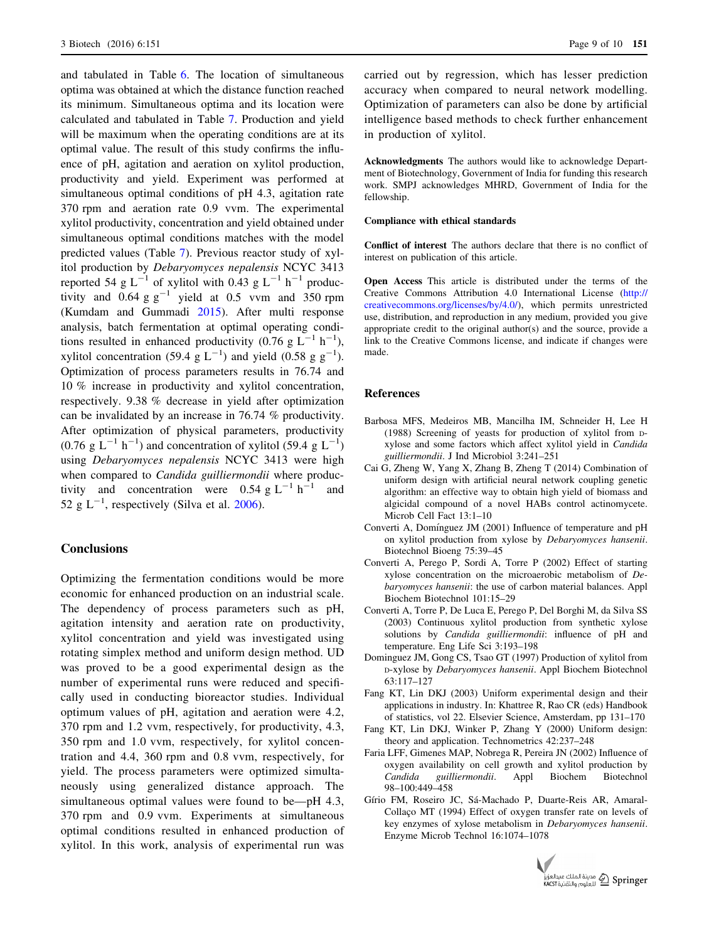<span id="page-8-0"></span>and tabulated in Table [6.](#page-6-0) The location of simultaneous optima was obtained at which the distance function reached its minimum. Simultaneous optima and its location were calculated and tabulated in Table [7](#page-7-0). Production and yield will be maximum when the operating conditions are at its optimal value. The result of this study confirms the influence of pH, agitation and aeration on xylitol production, productivity and yield. Experiment was performed at simultaneous optimal conditions of pH 4.3, agitation rate 370 rpm and aeration rate 0.9 vvm. The experimental xylitol productivity, concentration and yield obtained under simultaneous optimal conditions matches with the model predicted values (Table [7\)](#page-7-0). Previous reactor study of xylitol production by Debaryomyces nepalensis NCYC 3413 reported 54 g L<sup>-1</sup> of xylitol with 0.43 g L<sup>-1</sup> h<sup>-1</sup> productivity and  $0.64$  g g<sup>-1</sup> yield at 0.5 vvm and 350 rpm (Kumdam and Gummadi [2015](#page-9-0)). After multi response analysis, batch fermentation at optimal operating conditions resulted in enhanced productivity (0.76 g  $L^{-1}$  h<sup>-1</sup>), xylitol concentration (59.4  $g L^{-1}$ ) and yield (0.58  $g g^{-1}$ ). Optimization of process parameters results in 76.74 and 10 % increase in productivity and xylitol concentration, respectively. 9.38 % decrease in yield after optimization can be invalidated by an increase in 76.74 % productivity. After optimization of physical parameters, productivity  $(0.76 \text{ g L}^{-1} \text{ h}^{-1})$  and concentration of xylitol (59.4 g L<sup>-1</sup>) using Debaryomyces nepalensis NCYC 3413 were high when compared to *Candida guilliermondii* where productivity and concentration were 0.54 g  $L^{-1}$  h<sup>-1</sup> and 52 g  $L^{-1}$ , respectively (Silva et al. [2006\)](#page-9-0).

## **Conclusions**

Optimizing the fermentation conditions would be more economic for enhanced production on an industrial scale. The dependency of process parameters such as pH, agitation intensity and aeration rate on productivity, xylitol concentration and yield was investigated using rotating simplex method and uniform design method. UD was proved to be a good experimental design as the number of experimental runs were reduced and specifically used in conducting bioreactor studies. Individual optimum values of pH, agitation and aeration were 4.2, 370 rpm and 1.2 vvm, respectively, for productivity, 4.3, 350 rpm and 1.0 vvm, respectively, for xylitol concentration and 4.4, 360 rpm and 0.8 vvm, respectively, for yield. The process parameters were optimized simultaneously using generalized distance approach. The simultaneous optimal values were found to be—pH 4.3, 370 rpm and 0.9 vvm. Experiments at simultaneous optimal conditions resulted in enhanced production of xylitol. In this work, analysis of experimental run was

carried out by regression, which has lesser prediction accuracy when compared to neural network modelling. Optimization of parameters can also be done by artificial intelligence based methods to check further enhancement in production of xylitol.

Acknowledgments The authors would like to acknowledge Department of Biotechnology, Government of India for funding this research work. SMPJ acknowledges MHRD, Government of India for the fellowship.

#### Compliance with ethical standards

Conflict of interest The authors declare that there is no conflict of interest on publication of this article.

Open Access This article is distributed under the terms of the Creative Commons Attribution 4.0 International License ([http://](http://creativecommons.org/licenses/by/4.0/) [creativecommons.org/licenses/by/4.0/](http://creativecommons.org/licenses/by/4.0/)), which permits unrestricted use, distribution, and reproduction in any medium, provided you give appropriate credit to the original author(s) and the source, provide a link to the Creative Commons license, and indicate if changes were made.

### References

- Barbosa MFS, Medeiros MB, Mancilha IM, Schneider H, Lee H (1988) Screening of yeasts for production of xylitol from Dxylose and some factors which affect xylitol yield in Candida guilliermondii. J Ind Microbiol 3:241–251
- Cai G, Zheng W, Yang X, Zhang B, Zheng T (2014) Combination of uniform design with artificial neural network coupling genetic algorithm: an effective way to obtain high yield of biomass and algicidal compound of a novel HABs control actinomycete. Microb Cell Fact 13:1–10
- Converti A, Domínguez JM (2001) Influence of temperature and pH on xylitol production from xylose by Debaryomyces hansenii. Biotechnol Bioeng 75:39–45
- Converti A, Perego P, Sordi A, Torre P (2002) Effect of starting xylose concentration on the microaerobic metabolism of Debaryomyces hansenii: the use of carbon material balances. Appl Biochem Biotechnol 101:15–29
- Converti A, Torre P, De Luca E, Perego P, Del Borghi M, da Silva SS (2003) Continuous xylitol production from synthetic xylose solutions by Candida guilliermondii: influence of pH and temperature. Eng Life Sci 3:193–198
- Dominguez JM, Gong CS, Tsao GT (1997) Production of xylitol from D-xylose by Debaryomyces hansenii. Appl Biochem Biotechnol 63:117–127
- Fang KT, Lin DKJ (2003) Uniform experimental design and their applications in industry. In: Khattree R, Rao CR (eds) Handbook of statistics, vol 22. Elsevier Science, Amsterdam, pp 131–170
- Fang KT, Lin DKJ, Winker P, Zhang Y (2000) Uniform design: theory and application. Technometrics 42:237–248
- Faria LFF, Gimenes MAP, Nobrega R, Pereira JN (2002) Influence of oxygen availability on cell growth and xylitol production by Candida guilliermondii. Appl Biochem Biotechnol 98–100:449–458
- Gírio FM, Roseiro JC, Sá-Machado P, Duarte-Reis AR, Amaral-Collaço MT (1994) Effect of oxygen transfer rate on levels of key enzymes of xylose metabolism in Debaryomyces hansenii. Enzyme Microb Technol 16:1074–1078